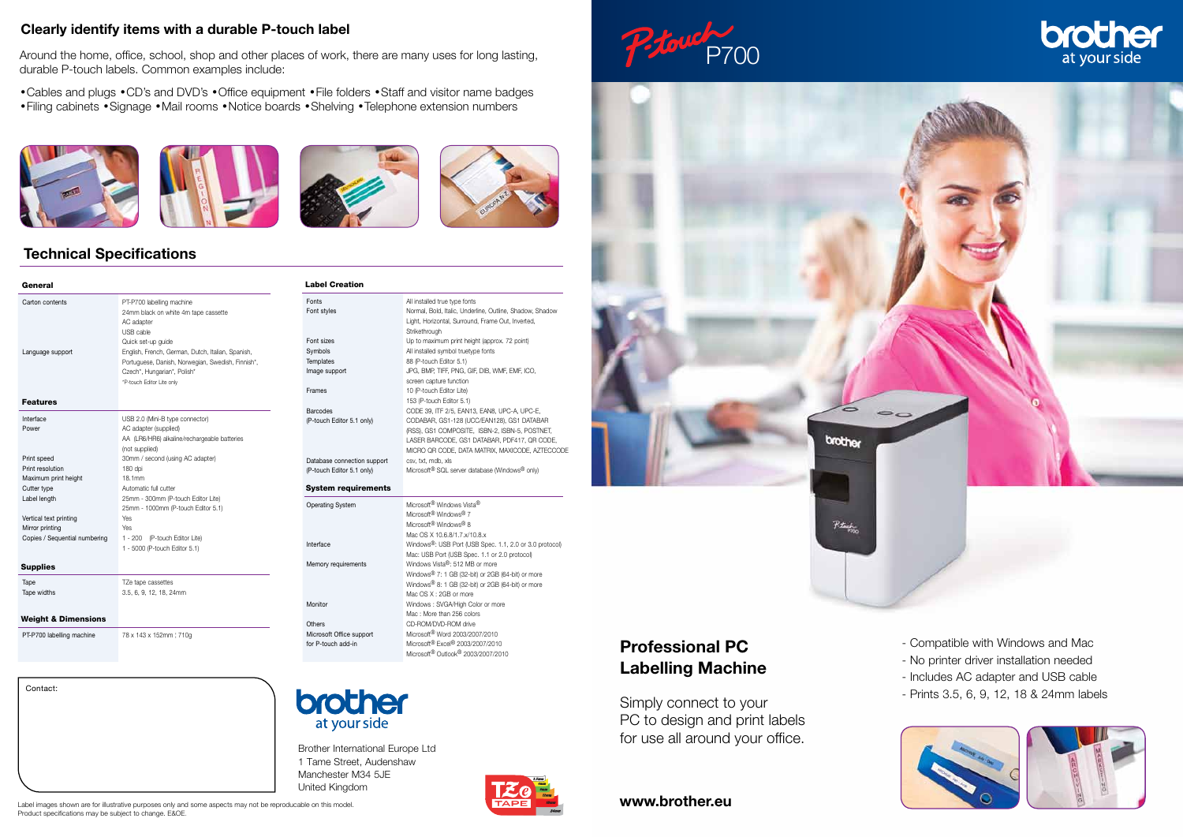# P700



Pitage

Contact:



Brother International Europe Ltd 1 Tame Street, Audenshaw Manchester M34 5JE United Kingdom



# Professional PC Labelling Machine

Simply connect to your PC to design and print labels for use all around your office.

- Compatible with Windows and Mac
- No printer driver installation needed
- Includes AC adapter and USB cable
- Prints 3.5, 6, 9, 12, 18 & 24mm labels





## Technical Specifications

#### Clearly identify items with a durable P-touch label

**Strikethrough** Font sizes Up to maximum print height (approx. 72 point)

Symbols **All installed symbol truetype fonts** Templates 88 (P-touch Editor 5.1)

Frames 10 (P-touch Editor Lite)

Database connection support csv, txt, mdb, xls

Operating System Microsoft<sup>®</sup> Windows Vista<sup>®</sup>

Memory requirements Windows Vista<sup>®</sup>: 512 MB or more

Monitor Windows : SVGA/High Color or more

Image support JPG, BMP, TIFF, PNG, GIF, DIB, WMF, EMF, ICO, screen capture function

Around the home, office, school, shop and other places of work, there are many uses for long lasting, durable P-touch labels. Common examples include:

> Microsoft<sup>®</sup> Windows<sup>®</sup> 7 Microsoft<sup>®</sup> Windows<sup>®</sup> 8 Mac OS X 10.6.8/1.7.x/10.8.x Interface Windows®: USB Port (USB Spec. 1.1, 2.0 or 3.0 protocol)

> > Mac OS X : 2GB or more

•Cables and plugs •CD's and DVD's •Office equipment •File folders •Staff and visitor name badges •Filing cabinets •Signage •Mail rooms •Notice boards •Shelving •Telephone extension numbers







Fonts **All installed true type fonts** 

| General                                                                                                          |                                                                                                                                                                                                                                                                                          |
|------------------------------------------------------------------------------------------------------------------|------------------------------------------------------------------------------------------------------------------------------------------------------------------------------------------------------------------------------------------------------------------------------------------|
| Carton contents<br>Language support                                                                              | PT-P700 labelling machine<br>24mm black on white 4m tape cassette<br>AC adapter<br>USB cable<br>Quick set-up quide<br>English, French, German, Dutch, Italian, Spanish,<br>Portuguese, Danish, Norwegian, Swedish, Finnish*,<br>Czech*, Hungarian*, Polish*<br>*P-touch Editor Lite only |
| <b>Features</b>                                                                                                  |                                                                                                                                                                                                                                                                                          |
| Interface<br>Power                                                                                               | USB 2.0 (Mini-B type connector)<br>AC adapter (supplied)<br>AA (LR6/HR6) alkaline/rechargeable batteries<br>(not supplied)                                                                                                                                                               |
| Print speed<br>Print resolution<br>Maximum print height<br>Cutter type<br>Label length<br>Vertical text printing | 30mm / second (using AC adapter)<br>180 dpi<br>18.1mm<br>Automatic full cutter<br>25mm - 300mm (P-touch Editor Lite)<br>25mm - 1000mm (P-touch Editor 5.1)<br><b>Yes</b>                                                                                                                 |
| Mirror printing<br>Copies / Sequential numbering                                                                 | <b>Yes</b><br>1 - 200<br>(P-touch Editor Lite)<br>1 - 5000 (P-touch Editor 5.1)                                                                                                                                                                                                          |
| <b>Supplies</b>                                                                                                  |                                                                                                                                                                                                                                                                                          |
| Tape<br>Tape widths                                                                                              | TZe tape cassettes<br>3.5, 6, 9, 12, 18, 24mm                                                                                                                                                                                                                                            |
| <b>Weight &amp; Dimensions</b>                                                                                   |                                                                                                                                                                                                                                                                                          |
| PT-P700 labelling machine                                                                                        | 78 x 143 x 152mm   710g                                                                                                                                                                                                                                                                  |





Others CD-ROM/DVD-ROM drive Microsoft Office support Microsoft<sup>®</sup> Word 2003/2007/2010 for P-touch add-in Microsoft® Excel® 2003/2007/2010

www.brother.eu

Label Creation



Light, Horizontal, Surround, Frame Out, Inverted,

153 (P-touch Editor 5.1) Barcodes CODE 39, ITF 2/5, EAN13, EAN8, UPC-A, UPC-E, (P-touch Editor 5.1 only) CODABAR, GS1-128 (UCC/EAN128), GS1 DATABAR

> (RSS), GS1 COMPOSITE, ISBN-2, ISBN-5, POSTNET, LASER BARCODE, GS1 DATABAR, PDF417, QR CODE, MICRO QR CODE, DATA MATRIX, MAXICODE, AZTECCODE

(P-touch Editor 5.1 only) Microsoft® SQL server database (Windows® only)

System requirements

Font styles Normal, Bold, Italic, Underline, Outline, Shadow, Shadow

Mac: USB Port (USB Spec. 1.1 or 2.0 protocol)

Windows® 7: 1 GB (32-bit) or 2GB (64-bit) or more Windows® 8: 1 GB (32-bit) or 2GB (64-bit) or more

Mac : More than 256 colors

Microsoft® Outlook® 2003/2007/2010